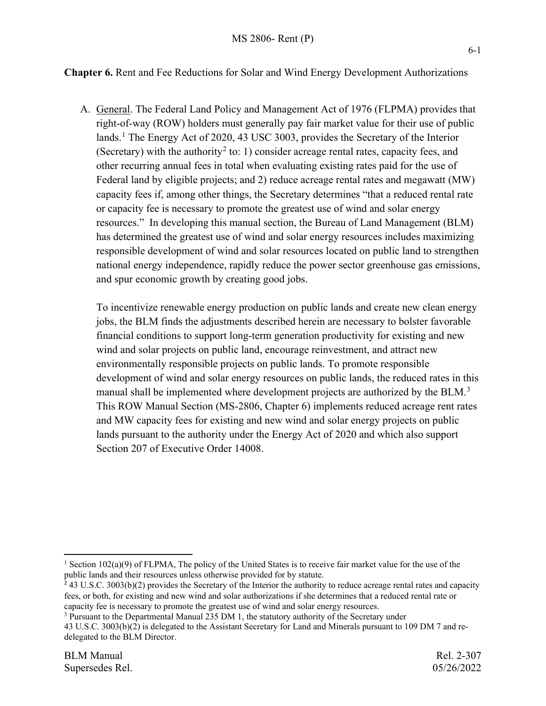### **Chapter 6.** Rent and Fee Reductions for Solar and Wind Energy Development Authorizations

A. General. The Federal Land Policy and Management Act of 1976 (FLPMA) provides that right-of-way (ROW) holders must generally pay fair market value for their use of public lands.<sup>[1](#page-0-0)</sup> The Energy Act of 2020, 43 USC 3003, provides the Secretary of the Interior (Secretary) with the authority<sup>[2](#page-0-1)</sup> to: 1) consider acreage rental rates, capacity fees, and other recurring annual fees in total when evaluating existing rates paid for the use of Federal land by eligible projects; and 2) reduce acreage rental rates and megawatt (MW) capacity fees if, among other things, the Secretary determines "that a reduced rental rate or capacity fee is necessary to promote the greatest use of wind and solar energy resources." In developing this manual section, the Bureau of Land Management (BLM) has determined the greatest use of wind and solar energy resources includes maximizing responsible development of wind and solar resources located on public land to strengthen national energy independence, rapidly reduce the power sector greenhouse gas emissions, and spur economic growth by creating good jobs.

To incentivize renewable energy production on public lands and create new clean energy jobs, the BLM finds the adjustments described herein are necessary to bolster favorable financial conditions to support long-term generation productivity for existing and new wind and solar projects on public land, encourage reinvestment, and attract new environmentally responsible projects on public lands. To promote responsible development of wind and solar energy resources on public lands, the reduced rates in this manual shall be implemented where development projects are authorized by the BLM.<sup>[3](#page-0-2)</sup> This ROW Manual Section (MS-2806, Chapter 6) implements reduced acreage rent rates and MW capacity fees for existing and new wind and solar energy projects on public lands pursuant to the authority under the Energy Act of 2020 and which also support Section 207 of Executive Order 14008.

<span id="page-0-0"></span><sup>&</sup>lt;sup>1</sup> Section 102(a)(9) of FLPMA, The policy of the United States is to receive fair market value for the use of the public lands and their resources unless otherwise provided for by statute.

<span id="page-0-1"></span><sup>&</sup>lt;sup>2</sup> 43 U.S.C. 3003(b)(2) provides the Secretary of the Interior the authority to reduce acreage rental rates and capacity fees, or both, for existing and new wind and solar authorizations if she determines that a reduced rental rate or capacity fee is necessary to promote the greatest use of wind and solar energy resources.

<span id="page-0-2"></span><sup>&</sup>lt;sup>3</sup> Pursuant to the Departmental Manual 235 DM 1, the statutory authority of the Secretary under

<sup>43</sup> U.S.C. 3003(b)(2) is delegated to the Assistant Secretary for Land and Minerals pursuant to 109 DM 7 and redelegated to the BLM Director.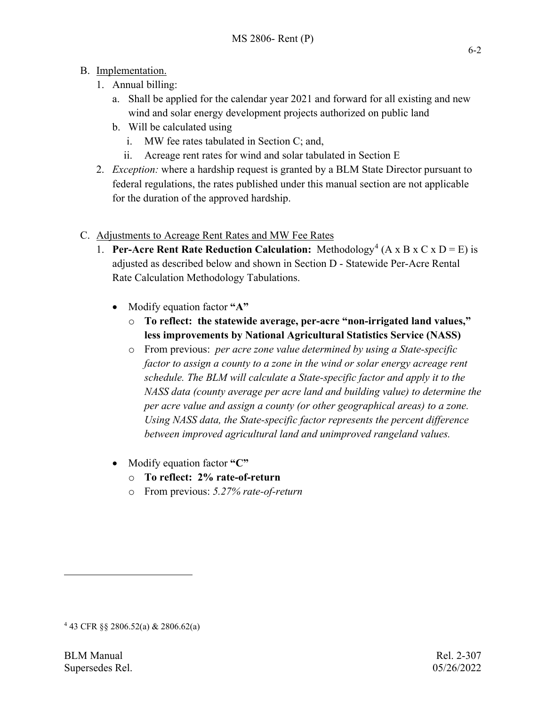## B. Implementation.

- 1. Annual billing:
	- a. Shall be applied for the calendar year 2021 and forward for all existing and new wind and solar energy development projects authorized on public land
	- b. Will be calculated using
		- i. MW fee rates tabulated in Section C; and,
		- ii. Acreage rent rates for wind and solar tabulated in Section E
- 2. *Exception:* where a hardship request is granted by a BLM State Director pursuant to federal regulations, the rates published under this manual section are not applicable for the duration of the approved hardship.
- C. Adjustments to Acreage Rent Rates and MW Fee Rates
	- 1. **Per-Acre Rent Rate Reduction Calculation:** Methodology<sup>[4](#page-1-0)</sup> ( $A \times B \times C \times D = E$ ) is adjusted as described below and shown in Section D - Statewide Per-Acre Rental Rate Calculation Methodology Tabulations.
		- Modify equation factor **"A"**
			- o **To reflect: the statewide average, per-acre "non-irrigated land values," less improvements by National Agricultural Statistics Service (NASS)**
			- o From previous: *per acre zone value determined by using a State-specific factor to assign a county to a zone in the wind or solar energy acreage rent schedule. The BLM will calculate a State-specific factor and apply it to the NASS data (county average per acre land and building value) to determine the per acre value and assign a county (or other geographical areas) to a zone. Using NASS data, the State-specific factor represents the percent difference between improved agricultural land and unimproved rangeland values.*
		- Modify equation factor **"C"**
			- o **To reflect: 2% rate-of-return**
			- o From previous: *5.27% rate-of-return*

<span id="page-1-0"></span><sup>4</sup> 43 CFR §§ 2806.52(a) & 2806.62(a)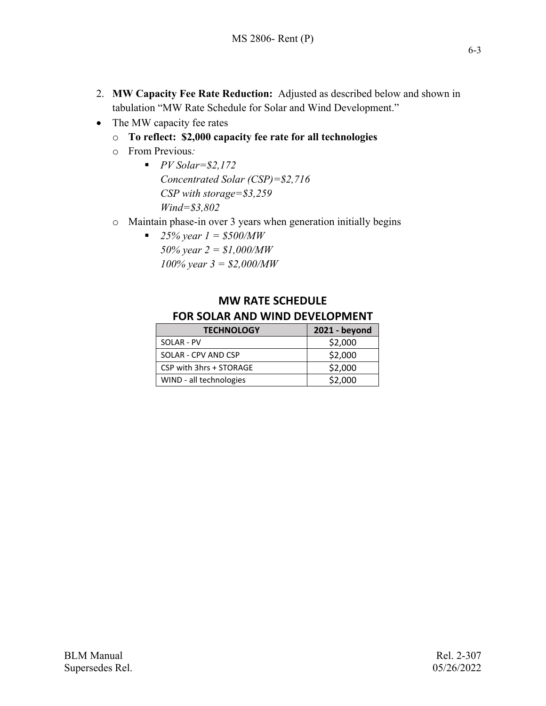- 2. **MW Capacity Fee Rate Reduction:** Adjusted as described below and shown in tabulation "MW Rate Schedule for Solar and Wind Development."
- The MW capacity fee rates
	- o **To reflect: \$2,000 capacity fee rate for all technologies**
	- o From Previous*:* 
		- *PV Solar=\$2,172 Concentrated Solar (CSP)=\$2,716 CSP with storage=\$3,259 Wind=\$3,802*
	- o Maintain phase-in over 3 years when generation initially begins
		- **25% year 1 = \$500/MW** *50% year 2 = \$1,000/MW 100% year 3 = \$2,000/MW*

# **MW RATE SCHEDULE FOR SOLAR AND WIND DEVELOPMENT**

| <b>TECHNOLOGY</b>       | 2021 - beyond |  |  |  |  |
|-------------------------|---------------|--|--|--|--|
| SOLAR - PV              | \$2,000       |  |  |  |  |
| SOLAR - CPV AND CSP     | \$2,000       |  |  |  |  |
| CSP with 3hrs + STORAGE | \$2,000       |  |  |  |  |
| WIND - all technologies | \$2,000       |  |  |  |  |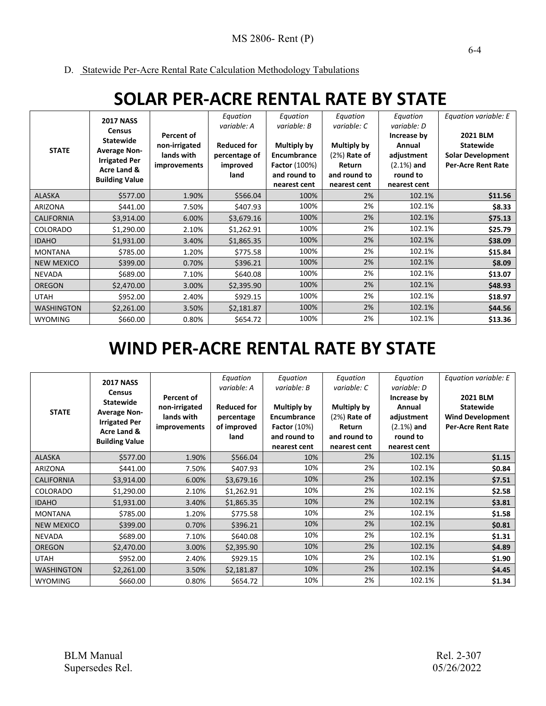D. Statewide Per-Acre Rental Rate Calculation Methodology Tabulations

# **SOLAR PER-ACRE RENTAL RATE BY STATE**

| <b>STATE</b>      | <b>2017 NASS</b><br><b>Census</b><br><b>Statewide</b><br><b>Average Non-</b><br><b>Irrigated Per</b><br>Acre Land &<br><b>Building Value</b> | Percent of<br>non-irrigated<br>lands with<br><i>improvements</i> | Equation<br>variable: A<br><b>Reduced for</b><br>percentage of<br>improved<br>land | Equation<br>variable: B<br><b>Multiply by</b><br>Encumbrance<br><b>Factor</b> (100%)<br>and round to<br>nearest cent | Equation<br>variable: C<br><b>Multiply by</b><br>$(2%)$ Rate of<br>Return<br>and round to<br>nearest cent | Equation<br>variable: D<br>Increase by<br>Annual<br>adjustment<br>$(2.1%)$ and<br>round to<br>nearest cent | Equation variable: E<br><b>2021 BLM</b><br><b>Statewide</b><br><b>Solar Development</b><br><b>Per-Acre Rent Rate</b> |
|-------------------|----------------------------------------------------------------------------------------------------------------------------------------------|------------------------------------------------------------------|------------------------------------------------------------------------------------|----------------------------------------------------------------------------------------------------------------------|-----------------------------------------------------------------------------------------------------------|------------------------------------------------------------------------------------------------------------|----------------------------------------------------------------------------------------------------------------------|
| <b>ALASKA</b>     | \$577.00                                                                                                                                     | 1.90%                                                            | \$566.04                                                                           | 100%                                                                                                                 | 2%                                                                                                        | 102.1%                                                                                                     | \$11.56                                                                                                              |
| <b>ARIZONA</b>    | \$441.00                                                                                                                                     | 7.50%                                                            | \$407.93                                                                           | 100%                                                                                                                 | 2%                                                                                                        | 102.1%                                                                                                     | \$8.33                                                                                                               |
| <b>CALIFORNIA</b> | \$3,914.00                                                                                                                                   | 6.00%                                                            | \$3,679.16                                                                         | 100%                                                                                                                 | 2%                                                                                                        | 102.1%                                                                                                     | \$75.13                                                                                                              |
| COLORADO          | \$1,290.00                                                                                                                                   | 2.10%                                                            | \$1,262.91                                                                         | 100%                                                                                                                 | 2%                                                                                                        | 102.1%                                                                                                     | \$25.79                                                                                                              |
| <b>IDAHO</b>      | \$1,931.00                                                                                                                                   | 3.40%                                                            | \$1,865.35                                                                         | 100%                                                                                                                 | 2%                                                                                                        | 102.1%                                                                                                     | \$38.09                                                                                                              |
| <b>MONTANA</b>    | \$785.00                                                                                                                                     | 1.20%                                                            | \$775.58                                                                           | 100%                                                                                                                 | 2%                                                                                                        | 102.1%                                                                                                     | \$15.84                                                                                                              |
| <b>NEW MEXICO</b> | \$399.00                                                                                                                                     | 0.70%                                                            | \$396.21                                                                           | 100%                                                                                                                 | 2%                                                                                                        | 102.1%                                                                                                     | \$8.09                                                                                                               |
| NEVADA            | \$689.00                                                                                                                                     | 7.10%                                                            | \$640.08                                                                           | 100%                                                                                                                 | 2%                                                                                                        | 102.1%                                                                                                     | \$13.07                                                                                                              |
| <b>OREGON</b>     | \$2,470.00                                                                                                                                   | 3.00%                                                            | \$2,395.90                                                                         | 100%                                                                                                                 | 2%                                                                                                        | 102.1%                                                                                                     | \$48.93                                                                                                              |
| <b>UTAH</b>       | \$952.00                                                                                                                                     | 2.40%                                                            | \$929.15                                                                           | 100%                                                                                                                 | 2%                                                                                                        | 102.1%                                                                                                     | \$18.97                                                                                                              |
| <b>WASHINGTON</b> | \$2,261.00                                                                                                                                   | 3.50%                                                            | \$2,181.87                                                                         | 100%                                                                                                                 | 2%                                                                                                        | 102.1%                                                                                                     | \$44.56                                                                                                              |
| <b>WYOMING</b>    | \$660.00                                                                                                                                     | 0.80%                                                            | \$654.72                                                                           | 100%                                                                                                                 | 2%                                                                                                        | 102.1%                                                                                                     | \$13.36                                                                                                              |

# **WIND PER-ACRE RENTAL RATE BY STATE**

|                   | <b>2017 NASS</b>                            |                                   | Equation                          | Equation                           | Equation                   | Equation                             | Equation variable: E                                 |
|-------------------|---------------------------------------------|-----------------------------------|-----------------------------------|------------------------------------|----------------------------|--------------------------------------|------------------------------------------------------|
|                   | <b>Census</b><br><b>Statewide</b>           | Percent of<br>non-irrigated       | variable: A<br><b>Reduced for</b> | variable: B<br>Multiply by         | variable: C<br>Multiply by | variable: D<br>Increase by<br>Annual | <b>2021 BLM</b><br><b>Statewide</b>                  |
| <b>STATE</b>      | <b>Average Non-</b><br><b>Irrigated Per</b> | lands with<br><i>improvements</i> | percentage<br>of improved         | Encumbrance<br><b>Factor</b> (10%) |                            | adjustment<br>$(2.1%)$ and           | <b>Wind Development</b><br><b>Per-Acre Rent Rate</b> |
|                   | Acre Land &<br><b>Building Value</b>        |                                   | land                              | and round to                       | Return<br>and round to     | round to                             |                                                      |
|                   |                                             |                                   |                                   | nearest cent                       | nearest cent               | nearest cent                         |                                                      |
| <b>ALASKA</b>     | \$577.00                                    | 1.90%                             | \$566.04                          | 10%                                | 2%                         | 102.1%                               | \$1.15                                               |
| <b>ARIZONA</b>    | \$441.00                                    | 7.50%                             | \$407.93                          | 10%                                | 2%                         | 102.1%                               | \$0.84                                               |
| <b>CALIFORNIA</b> | \$3,914.00                                  | 6.00%                             | \$3,679.16                        | 10%                                | 2%                         | 102.1%                               | \$7.51                                               |
| COLORADO          | \$1,290.00                                  | 2.10%                             | \$1,262.91                        | 10%                                | 2%                         | 102.1%                               | \$2.58                                               |
| <b>IDAHO</b>      | \$1,931.00                                  | 3.40%                             | \$1,865.35                        | 10%                                | 2%                         | 102.1%                               | \$3.81                                               |
| <b>MONTANA</b>    | \$785.00                                    | 1.20%                             | \$775.58                          | 10%                                | 2%                         | 102.1%                               | \$1.58                                               |
| <b>NEW MEXICO</b> | \$399.00                                    | 0.70%                             | \$396.21                          | 10%                                | 2%                         | 102.1%                               | \$0.81                                               |
| <b>NEVADA</b>     | \$689.00                                    | 7.10%                             | \$640.08                          | 10%                                | 2%                         | 102.1%                               | \$1.31                                               |
| <b>OREGON</b>     | \$2,470.00                                  | 3.00%                             | \$2,395.90                        | 10%                                | 2%                         | 102.1%                               | \$4.89                                               |
| <b>UTAH</b>       | \$952.00                                    | 2.40%                             | \$929.15                          | 10%                                | 2%                         | 102.1%                               | \$1.90                                               |
| <b>WASHINGTON</b> | \$2,261.00                                  | 3.50%                             | \$2,181.87                        | 10%                                | 2%                         | 102.1%                               | \$4.45                                               |
| <b>WYOMING</b>    | \$660.00                                    | 0.80%                             | \$654.72                          | 10%                                | 2%                         | 102.1%                               | \$1.34                                               |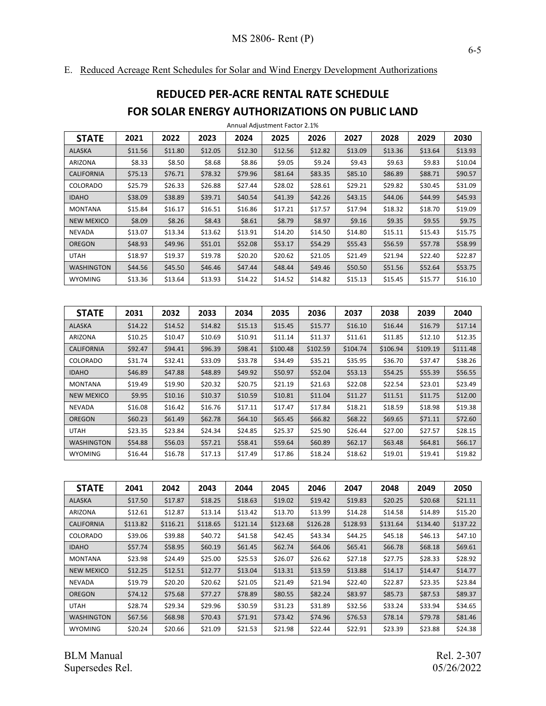E. Reduced Acreage Rent Schedules for Solar and Wind Energy Development Authorizations

# **REDUCED PER-ACRE RENTAL RATE SCHEDULE FOR SOLAR ENERGY AUTHORIZATIONS ON PUBLIC LAND**

| <b>STATE</b>      | 2021    | 2022    | 2023    | 2024    | 2025    | 2026    | 2027    | 2028    | 2029    | 2030    |
|-------------------|---------|---------|---------|---------|---------|---------|---------|---------|---------|---------|
| <b>ALASKA</b>     | \$11.56 | \$11.80 | \$12.05 | \$12.30 | \$12.56 | \$12.82 | \$13.09 | \$13.36 | \$13.64 | \$13.93 |
| <b>ARIZONA</b>    | \$8.33  | \$8.50  | \$8.68  | \$8.86  | \$9.05  | \$9.24  | \$9.43  | \$9.63  | \$9.83  | \$10.04 |
| <b>CALIFORNIA</b> | \$75.13 | \$76.71 | \$78.32 | \$79.96 | \$81.64 | \$83.35 | \$85.10 | \$86.89 | \$88.71 | \$90.57 |
| <b>COLORADO</b>   | \$25.79 | \$26.33 | \$26.88 | \$27.44 | \$28.02 | \$28.61 | \$29.21 | \$29.82 | \$30.45 | \$31.09 |
| <b>IDAHO</b>      | \$38.09 | \$38.89 | \$39.71 | \$40.54 | \$41.39 | \$42.26 | \$43.15 | \$44.06 | \$44.99 | \$45.93 |
| <b>MONTANA</b>    | \$15.84 | \$16.17 | \$16.51 | \$16.86 | \$17.21 | \$17.57 | \$17.94 | \$18.32 | \$18.70 | \$19.09 |
| <b>NEW MEXICO</b> | \$8.09  | \$8.26  | \$8.43  | \$8.61  | \$8.79  | \$8.97  | \$9.16  | \$9.35  | \$9.55  | \$9.75  |
| <b>NEVADA</b>     | \$13.07 | \$13.34 | \$13.62 | \$13.91 | \$14.20 | \$14.50 | \$14.80 | \$15.11 | \$15.43 | \$15.75 |
| <b>OREGON</b>     | \$48.93 | \$49.96 | \$51.01 | \$52.08 | \$53.17 | \$54.29 | \$55.43 | \$56.59 | \$57.78 | \$58.99 |
| <b>UTAH</b>       | \$18.97 | \$19.37 | \$19.78 | \$20.20 | \$20.62 | \$21.05 | \$21.49 | \$21.94 | \$22.40 | \$22.87 |
| <b>WASHINGTON</b> | \$44.56 | \$45.50 | \$46.46 | \$47.44 | \$48.44 | \$49.46 | \$50.50 | \$51.56 | \$52.64 | \$53.75 |
| <b>WYOMING</b>    | \$13.36 | \$13.64 | \$13.93 | \$14.22 | \$14.52 | \$14.82 | \$15.13 | \$15.45 | \$15.77 | \$16.10 |

Annual Adjustment Factor 2.1%

| <b>STATE</b>      | 2031    | 2032    | 2033    | 2034    | 2035     | 2036     | 2037     | 2038     | 2039     | 2040     |
|-------------------|---------|---------|---------|---------|----------|----------|----------|----------|----------|----------|
| <b>ALASKA</b>     | \$14.22 | \$14.52 | \$14.82 | \$15.13 | \$15.45  | \$15.77  | \$16.10  | \$16.44  | \$16.79  | \$17.14  |
| <b>ARIZONA</b>    | \$10.25 | \$10.47 | \$10.69 | \$10.91 | \$11.14  | \$11.37  | \$11.61  | \$11.85  | \$12.10  | \$12.35  |
| <b>CALIFORNIA</b> | \$92.47 | \$94.41 | \$96.39 | \$98.41 | \$100.48 | \$102.59 | \$104.74 | \$106.94 | \$109.19 | \$111.48 |
| <b>COLORADO</b>   | \$31.74 | \$32.41 | \$33.09 | \$33.78 | \$34.49  | \$35.21  | \$35.95  | \$36.70  | \$37.47  | \$38.26  |
| <b>IDAHO</b>      | \$46.89 | \$47.88 | \$48.89 | \$49.92 | \$50.97  | \$52.04  | \$53.13  | \$54.25  | \$55.39  | \$56.55  |
| <b>MONTANA</b>    | \$19.49 | \$19.90 | \$20.32 | \$20.75 | \$21.19  | \$21.63  | \$22.08  | \$22.54  | \$23.01  | \$23.49  |
| <b>NEW MEXICO</b> | \$9.95  | \$10.16 | \$10.37 | \$10.59 | \$10.81  | \$11.04  | \$11.27  | \$11.51  | \$11.75  | \$12.00  |
| <b>NEVADA</b>     | \$16.08 | \$16.42 | \$16.76 | \$17.11 | \$17.47  | \$17.84  | \$18.21  | \$18.59  | \$18.98  | \$19.38  |
| <b>OREGON</b>     | \$60.23 | \$61.49 | \$62.78 | \$64.10 | \$65.45  | \$66.82  | \$68.22  | \$69.65  | \$71.11  | \$72.60  |
| <b>UTAH</b>       | \$23.35 | \$23.84 | \$24.34 | \$24.85 | \$25.37  | \$25.90  | \$26.44  | \$27.00  | \$27.57  | \$28.15  |
| <b>WASHINGTON</b> | \$54.88 | \$56.03 | \$57.21 | \$58.41 | \$59.64  | \$60.89  | \$62.17  | \$63.48  | \$64.81  | \$66.17  |
| <b>WYOMING</b>    | \$16.44 | \$16.78 | \$17.13 | \$17.49 | \$17.86  | \$18.24  | \$18.62  | \$19.01  | \$19.41  | \$19.82  |

| <b>STATE</b>      | 2041     | 2042     | 2043     | 2044     | 2045     | 2046     | 2047     | 2048     | 2049     | 2050     |
|-------------------|----------|----------|----------|----------|----------|----------|----------|----------|----------|----------|
| <b>ALASKA</b>     | \$17.50  | \$17.87  | \$18.25  | \$18.63  | \$19.02  | \$19.42  | \$19.83  | \$20.25  | \$20.68  | \$21.11  |
| ARIZONA           | \$12.61  | \$12.87  | \$13.14  | \$13.42  | \$13.70  | \$13.99  | \$14.28  | \$14.58  | \$14.89  | \$15.20  |
| <b>CALIFORNIA</b> | \$113.82 | \$116.21 | \$118.65 | \$121.14 | \$123.68 | \$126.28 | \$128.93 | \$131.64 | \$134.40 | \$137.22 |
| <b>COLORADO</b>   | \$39.06  | \$39.88  | \$40.72  | \$41.58  | \$42.45  | \$43.34  | \$44.25  | \$45.18  | \$46.13  | \$47.10  |
| <b>IDAHO</b>      | \$57.74  | \$58.95  | \$60.19  | \$61.45  | \$62.74  | \$64.06  | \$65.41  | \$66.78  | \$68.18  | \$69.61  |
| <b>MONTANA</b>    | \$23.98  | \$24.49  | \$25.00  | \$25.53  | \$26.07  | \$26.62  | \$27.18  | \$27.75  | \$28.33  | \$28.92  |
| <b>NEW MEXICO</b> | \$12.25  | \$12.51  | \$12.77  | \$13.04  | \$13.31  | \$13.59  | \$13.88  | \$14.17  | \$14.47  | \$14.77  |
| <b>NEVADA</b>     | \$19.79  | \$20.20  | \$20.62  | \$21.05  | \$21.49  | \$21.94  | \$22.40  | \$22.87  | \$23.35  | \$23.84  |
| <b>OREGON</b>     | \$74.12  | \$75.68  | \$77.27  | \$78.89  | \$80.55  | \$82.24  | \$83.97  | \$85.73  | \$87.53  | \$89.37  |
| <b>UTAH</b>       | \$28.74  | \$29.34  | \$29.96  | \$30.59  | \$31.23  | \$31.89  | \$32.56  | \$33.24  | \$33.94  | \$34.65  |
| <b>WASHINGTON</b> | \$67.56  | \$68.98  | \$70.43  | \$71.91  | \$73.42  | \$74.96  | \$76.53  | \$78.14  | \$79.78  | \$81.46  |
| <b>WYOMING</b>    | \$20.24  | \$20.66  | \$21.09  | \$21.53  | \$21.98  | \$22.44  | \$22.91  | \$23.39  | \$23.88  | \$24.38  |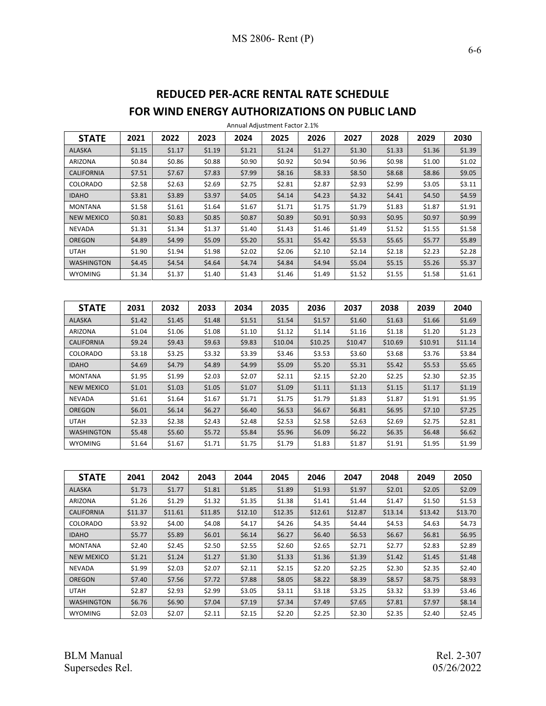# **REDUCED PER-ACRE RENTAL RATE SCHEDULE FOR WIND ENERGY AUTHORIZATIONS ON PUBLIC LAND**

| <b>STATE</b>      | 2021   | 2022   | 2023   | 2024   | 2025   | 2026   | 2027   | 2028   | 2029   | 2030   |
|-------------------|--------|--------|--------|--------|--------|--------|--------|--------|--------|--------|
| <b>ALASKA</b>     | \$1.15 | \$1.17 | \$1.19 | \$1.21 | \$1.24 | \$1.27 | \$1.30 | \$1.33 | \$1.36 | \$1.39 |
| <b>ARIZONA</b>    | \$0.84 | \$0.86 | \$0.88 | \$0.90 | \$0.92 | \$0.94 | \$0.96 | \$0.98 | \$1.00 | \$1.02 |
| <b>CALIFORNIA</b> | \$7.51 | \$7.67 | \$7.83 | \$7.99 | \$8.16 | \$8.33 | \$8.50 | \$8.68 | \$8.86 | \$9.05 |
| COLORADO          | \$2.58 | \$2.63 | \$2.69 | \$2.75 | \$2.81 | \$2.87 | \$2.93 | \$2.99 | \$3.05 | \$3.11 |
| <b>IDAHO</b>      | \$3.81 | \$3.89 | \$3.97 | \$4.05 | \$4.14 | \$4.23 | \$4.32 | \$4.41 | \$4.50 | \$4.59 |
| <b>MONTANA</b>    | \$1.58 | \$1.61 | \$1.64 | \$1.67 | \$1.71 | \$1.75 | \$1.79 | \$1.83 | \$1.87 | \$1.91 |
| <b>NEW MEXICO</b> | \$0.81 | \$0.83 | \$0.85 | \$0.87 | \$0.89 | \$0.91 | \$0.93 | \$0.95 | \$0.97 | \$0.99 |
| <b>NEVADA</b>     | \$1.31 | \$1.34 | \$1.37 | \$1.40 | \$1.43 | \$1.46 | \$1.49 | \$1.52 | \$1.55 | \$1.58 |
| <b>OREGON</b>     | \$4.89 | \$4.99 | \$5.09 | \$5.20 | \$5.31 | \$5.42 | \$5.53 | \$5.65 | \$5.77 | \$5.89 |
| <b>UTAH</b>       | \$1.90 | \$1.94 | \$1.98 | \$2.02 | \$2.06 | \$2.10 | \$2.14 | \$2.18 | \$2.23 | \$2.28 |
| <b>WASHINGTON</b> | \$4.45 | \$4.54 | \$4.64 | \$4.74 | \$4.84 | \$4.94 | \$5.04 | \$5.15 | \$5.26 | \$5.37 |
| <b>WYOMING</b>    | \$1.34 | \$1.37 | \$1.40 | \$1.43 | \$1.46 | \$1.49 | \$1.52 | \$1.55 | \$1.58 | \$1.61 |

Annual Adjustment Factor 2.1%

| <b>STATE</b>      | 2031   | 2032   | 2033   | 2034   | 2035    | 2036    | 2037    | 2038    | 2039    | 2040    |
|-------------------|--------|--------|--------|--------|---------|---------|---------|---------|---------|---------|
| <b>ALASKA</b>     | \$1.42 | \$1.45 | \$1.48 | \$1.51 | \$1.54  | \$1.57  | \$1.60  | \$1.63  | \$1.66  | \$1.69  |
| <b>ARIZONA</b>    | \$1.04 | \$1.06 | \$1.08 | \$1.10 | \$1.12  | \$1.14  | \$1.16  | \$1.18  | \$1.20  | \$1.23  |
| <b>CALIFORNIA</b> | \$9.24 | \$9.43 | \$9.63 | \$9.83 | \$10.04 | \$10.25 | \$10.47 | \$10.69 | \$10.91 | \$11.14 |
| <b>COLORADO</b>   | \$3.18 | \$3.25 | \$3.32 | \$3.39 | \$3.46  | \$3.53  | \$3.60  | \$3.68  | \$3.76  | \$3.84  |
| <b>IDAHO</b>      | \$4.69 | \$4.79 | \$4.89 | \$4.99 | \$5.09  | \$5.20  | \$5.31  | \$5.42  | \$5.53  | \$5.65  |
| <b>MONTANA</b>    | \$1.95 | \$1.99 | \$2.03 | \$2.07 | \$2.11  | \$2.15  | \$2.20  | \$2.25  | \$2.30  | \$2.35  |
| <b>NEW MEXICO</b> | \$1.01 | \$1.03 | \$1.05 | \$1.07 | \$1.09  | \$1.11  | \$1.13  | \$1.15  | \$1.17  | \$1.19  |
| <b>NEVADA</b>     | \$1.61 | \$1.64 | \$1.67 | \$1.71 | \$1.75  | \$1.79  | \$1.83  | \$1.87  | \$1.91  | \$1.95  |
| <b>OREGON</b>     | \$6.01 | \$6.14 | \$6.27 | \$6.40 | \$6.53  | \$6.67  | \$6.81  | \$6.95  | \$7.10  | \$7.25  |
| <b>UTAH</b>       | \$2.33 | \$2.38 | \$2.43 | \$2.48 | \$2.53  | \$2.58  | \$2.63  | \$2.69  | \$2.75  | \$2.81  |
| <b>WASHINGTON</b> | \$5.48 | \$5.60 | \$5.72 | \$5.84 | \$5.96  | \$6.09  | \$6.22  | \$6.35  | \$6.48  | \$6.62  |
| <b>WYOMING</b>    | \$1.64 | \$1.67 | \$1.71 | \$1.75 | \$1.79  | \$1.83  | \$1.87  | \$1.91  | \$1.95  | \$1.99  |

| <b>STATE</b>      | 2041    | 2042    | 2043    | 2044    | 2045    | 2046    | 2047    | 2048    | 2049    | 2050    |
|-------------------|---------|---------|---------|---------|---------|---------|---------|---------|---------|---------|
| <b>ALASKA</b>     | \$1.73  | \$1.77  | \$1.81  | \$1.85  | \$1.89  | \$1.93  | \$1.97  | \$2.01  | \$2.05  | \$2.09  |
| <b>ARIZONA</b>    | \$1.26  | \$1.29  | \$1.32  | \$1.35  | \$1.38  | \$1.41  | \$1.44  | \$1.47  | \$1.50  | \$1.53  |
| <b>CALIFORNIA</b> | \$11.37 | \$11.61 | \$11.85 | \$12.10 | \$12.35 | \$12.61 | \$12.87 | \$13.14 | \$13.42 | \$13.70 |
| <b>COLORADO</b>   | \$3.92  | \$4.00  | \$4.08  | \$4.17  | \$4.26  | \$4.35  | \$4.44  | \$4.53  | \$4.63  | \$4.73  |
| <b>IDAHO</b>      | \$5.77  | \$5.89  | \$6.01  | \$6.14  | \$6.27  | \$6.40  | \$6.53  | \$6.67  | \$6.81  | \$6.95  |
| <b>MONTANA</b>    | \$2.40  | \$2.45  | \$2.50  | \$2.55  | \$2.60  | \$2.65  | \$2.71  | \$2.77  | \$2.83  | \$2.89  |
| <b>NEW MEXICO</b> | \$1.21  | \$1.24  | \$1.27  | \$1.30  | \$1.33  | \$1.36  | \$1.39  | \$1.42  | \$1.45  | \$1.48  |
| <b>NEVADA</b>     | \$1.99  | \$2.03  | \$2.07  | \$2.11  | \$2.15  | \$2.20  | \$2.25  | \$2.30  | \$2.35  | \$2.40  |
| <b>OREGON</b>     | \$7.40  | \$7.56  | \$7.72  | \$7.88  | \$8.05  | \$8.22  | \$8.39  | \$8.57  | \$8.75  | \$8.93  |
| <b>UTAH</b>       | \$2.87  | \$2.93  | \$2.99  | \$3.05  | \$3.11  | \$3.18  | \$3.25  | \$3.32  | \$3.39  | \$3.46  |
| <b>WASHINGTON</b> | \$6.76  | \$6.90  | \$7.04  | \$7.19  | \$7.34  | \$7.49  | \$7.65  | \$7.81  | \$7.97  | \$8.14  |
| <b>WYOMING</b>    | \$2.03  | \$2.07  | \$2.11  | \$2.15  | \$2.20  | \$2.25  | \$2.30  | \$2.35  | \$2.40  | \$2.45  |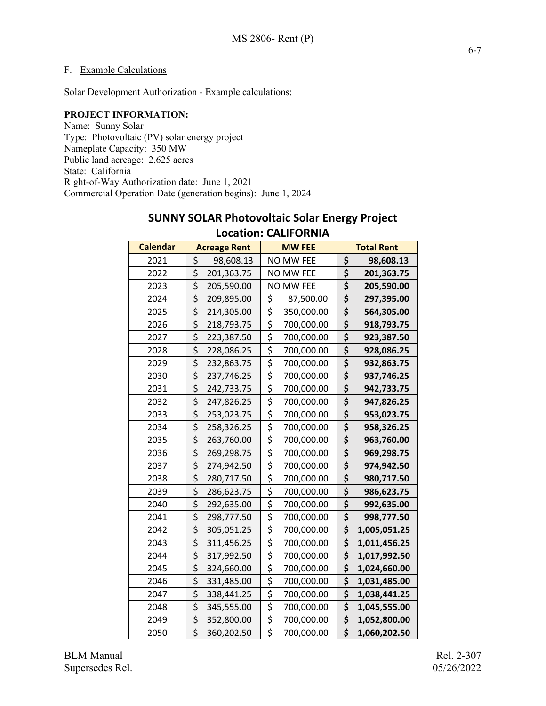#### F. Example Calculations

Solar Development Authorization - Example calculations:

#### **PROJECT INFORMATION:**

Name: Sunny Solar Type: Photovoltaic (PV) solar energy project Nameplate Capacity: 350 MW Public land acreage: 2,625 acres State: California Right-of-Way Authorization date: June 1, 2021 Commercial Operation Date (generation begins): June 1, 2024

## **SUNNY SOLAR Photovoltaic Solar Energy Project**

**Calendar | Acreage Rent | MW FEE | Total Rent \$** 98,608.13 NO MW FEE **\$ 98,608.13 \$** 201,363.75 NO MW FEE **\$ 201,363.75 \$ 205,590.00 NO MW FEE \$ 205,590.00**  \$ 209,895.00 \$ 87,500.00 **\$ 297,395.00**  \$ 214,305.00 \$ 350,000.00 **\$ 564,305.00**  \$ 218,793.75 \$ 700,000.00 **\$ 918,793.75**  \$ 223,387.50 \$ 700,000.00 **\$ 923,387.50**  \$ 228,086.25 \$ 700,000.00 **\$ 928,086.25**  \$ 232,863.75 \$ 700,000.00 **\$ 932,863.75**  \$ 237,746.25 \$ 700,000.00 **\$ 937,746.25**  \$ 242,733.75 \$ 700,000.00 **\$ 942,733.75**  \$ 247,826.25 \$ 700,000.00 **\$ 947,826.25**  \$ 253,023.75 \$ 700,000.00 **\$ 953,023.75**  \$ 258,326.25 \$ 700,000.00 **\$ 958,326.25**  \$ 263,760.00 \$ 700,000.00 **\$ 963,760.00**  \$ 269,298.75 \$ 700,000.00 **\$ 969,298.75**  \$ 274,942.50 \$ 700,000.00 **\$ 974,942.50**  \$ 280,717.50 \$ 700,000.00 **\$ 980,717.50**  \$ 286,623.75 \$ 700,000.00 **\$ 986,623.75**  \$ 292,635.00 \$ 700,000.00 **\$ 992,635.00**  \$ 298,777.50 \$ 700,000.00 **\$ 998,777.50**  \$ 305,051.25 \$ 700,000.00 **\$ 1,005,051.25**  \$ 311,456.25 \$ 700,000.00 **\$ 1,011,456.25**  \$ 317,992.50 \$ 700,000.00 **\$ 1,017,992.50**  \$ 324,660.00 \$ 700,000.00 **\$ 1,024,660.00**  \$ 331,485.00 \$ 700,000.00 **\$ 1,031,485.00**  \$ 338,441.25 \$ 700,000.00 **\$ 1,038,441.25**  \$ 345,555.00 \$ 700,000.00 **\$ 1,045,555.00**  \$ 352,800.00 \$ 700,000.00 **\$ 1,052,800.00**  \$ 360,202.50 \$ 700,000.00 **\$ 1,060,202.50** 

#### **Location: CALIFORNIA**

BLM Manual Rel. 2-307 Supersedes Rel. 65/26/2022